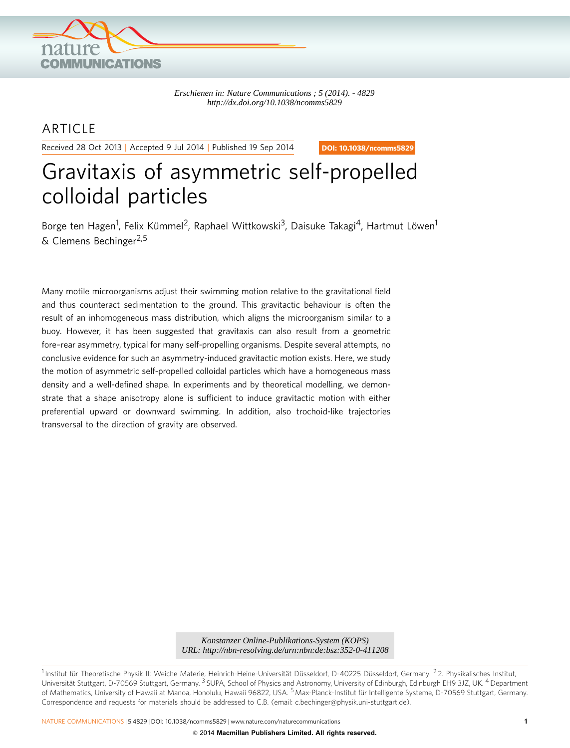

*Erschienen in: Nature Communications ; 5 (2014). - 4829 http://dx.doi.org/10.1038/ncomms5829*

# ARTICLE

Received 28 Oct 2013 | Accepted 9 Jul 2014 | Published 19 Sep 2014

DOI: 10.1038/ncomms5829

# Gravitaxis of asymmetric self-propelled colloidal particles

Borge ten Hagen<sup>1</sup>, Felix Kümmel<sup>2</sup>, Raphael Wittkowski<sup>3</sup>, Daisuke Takagi<sup>4</sup>, Hartmut Löwen<sup>1</sup>  $& Clemens Bechinger<sup>2,5</sup>$ 

Many motile microorganisms adjust their swimming motion relative to the gravitational field and thus counteract sedimentation to the ground. This gravitactic behaviour is often the result of an inhomogeneous mass distribution, which aligns the microorganism similar to a buoy. However, it has been suggested that gravitaxis can also result from a geometric fore–rear asymmetry, typical for many self-propelling organisms. Despite several attempts, no conclusive evidence for such an asymmetry-induced gravitactic motion exists. Here, we study the motion of asymmetric self-propelled colloidal particles which have a homogeneous mass density and a well-defined shape. In experiments and by theoretical modelling, we demonstrate that a shape anisotropy alone is sufficient to induce gravitactic motion with either preferential upward or downward swimming. In addition, also trochoid-like trajectories transversal to the direction of gravity are observed.

*URL: http://nbn-resolving.de/urn:nbn:de:bsz:352-0-411208*

<sup>1</sup> Institut für Theoretische Physik II: Weiche Materie, Heinrich-Heine-Universität Düsseldorf, D-40225 Düsseldorf, Germany. <sup>2</sup> 2. Physikalisches Institut, Universität Stuttgart, D-70569 Stuttgart, Germany. <sup>3</sup> SUPA, School of Physics and Astronomy, University of Edinburgh, Edinburgh EH9 3JZ, UK. <sup>4</sup> Department of Mathematics, University of Hawaii at Manoa, Honolulu, Hawaii 96822, USA. <sup>5</sup> Max-Planck-Institut für Intelligente Systeme, D-70569 Stuttgart, Germany. Correspondence and requests for materials should be addressed to C.B. (email: [c.bechinger@physik.uni-stuttgart.de\)](mailto:c.bechinger@physik.uni-stuttgart.de). *Konstanzer Online-Publikations-System (KOPS)*<br>*L: http://nbn-resolving.de/urn:nbn:de:bsz:352-0-411*<br>erie, Heinrich-Heine-Universität Düsseldorf, D-40225 Düs<br>ny.<sup>3</sup> SUPA, School of Physics and Astronomy, University of Hono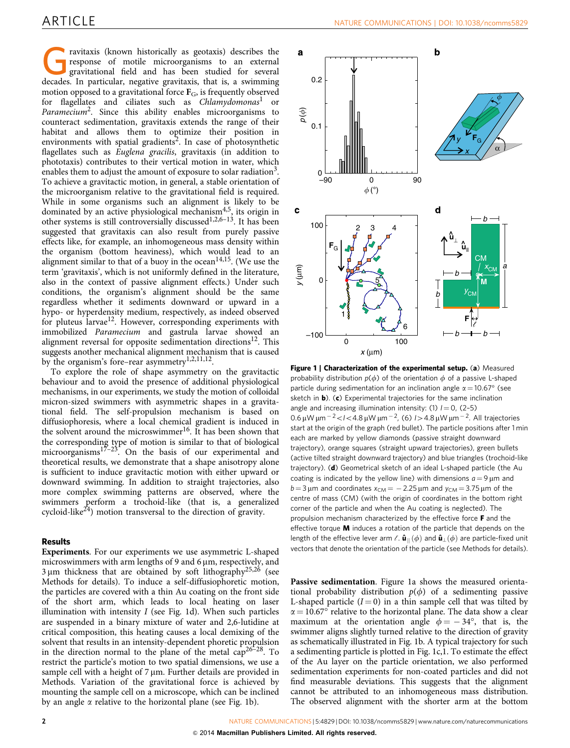<span id="page-1-0"></span>ravitaxis (known historically as geotaxis) describes the response of motile microorganisms to an external gravitational field and has been studied for several decades. In particular, negative gravitaxis, that is, a swimming motion opposed to a gravitational force  $\mathbf{F}_{\text{G}}$ , is frequently observed for flagellates and ciliates such as  $Chlamvdomas<sup>1</sup>$  $Chlamvdomas<sup>1</sup>$  $Chlamvdomas<sup>1</sup>$  or Paramecium<sup>2</sup>. Since this ability enables microorganisms to counteract sedimentation, gravitaxis extends the range of their habitat and allows them to optimize their position in environments with spatial gradients<sup>2</sup>. In case of photosynthetic flagellates such as Euglena gracilis, gravitaxis (in addition to phototaxis) contributes to their vertical motion in water, which enables them to adjust the amount of exposure to solar radiation<sup>3</sup>. To achieve a gravitactic motion, in general, a stable orientation of the microorganism relative to the gravitational field is required. While in some organisms such an alignment is likely to be dominated by an active physiological mechanism<sup>4,5</sup>, its origin in other systems is still controversially discussed<sup>[1,2,6–13](#page-6-0)</sup>. It has been suggested that gravitaxis can also result from purely passive effects like, for example, an inhomogeneous mass density within the organism (bottom heaviness), which would lead to an alignment similar to that of a buoy in the ocean<sup>14,15</sup>. (We use the term 'gravitaxis', which is not uniformly defined in the literature, also in the context of passive alignment effects.) Under such conditions, the organism's alignment should be the same regardless whether it sediments downward or upward in a hypo- or hyperdensity medium, respectively, as indeed observed for pluteus larvae<sup>12</sup>. However, corresponding experiments with immobilized Paramecium and gastrula larvae showed an alignment reversal for opposite sedimentation directions<sup>[12](#page-6-0)</sup>. This suggests another mechanical alignment mechanism that is caused by the organism's fore–rear asymmetry<sup>[1,2,11,12](#page-6-0)</sup>.

To explore the role of shape asymmetry on the gravitactic behaviour and to avoid the presence of additional physiological mechanisms, in our experiments, we study the motion of colloidal micron-sized swimmers with asymmetric shapes in a gravitational field. The self-propulsion mechanism is based on diffusiophoresis, where a local chemical gradient is induced in the solvent around the microswimmer<sup>[16](#page-6-0)</sup>. It has been shown that the corresponding type of motion is similar to that of biological microorganisms<sup>[17–23](#page-6-0)</sup>. On the basis of our experimental and theoretical results, we demonstrate that a shape anisotropy alone is sufficient to induce gravitactic motion with either upward or downward swimming. In addition to straight trajectories, also more complex swimming patterns are observed, where the swimmers perform a trochoid-like (that is, a generalized cycloid-like<sup>24</sup>) motion transversal to the direction of gravity.

## **Results**

Experiments. For our experiments we use asymmetric L-shaped microswimmers with arm lengths of 9 and 6  $\mu$ m, respectively, and  $3 \mu m$  thickness that are obtained by soft lithography<sup>[25,26](#page-6-0)</sup> (see Methods for details). To induce a self-diffusiophoretic motion, the particles are covered with a thin Au coating on the front side of the short arm, which leads to local heating on laser illumination with intensity  $I$  (see Fig. 1d). When such particles are suspended in a binary mixture of water and 2,6-lutidine at critical composition, this heating causes a local demixing of the solvent that results in an intensity-dependent phoretic propulsion in the direction normal to the plane of the metal  $\text{cap}^{26-28}$ . To restrict the particle's motion to two spatial dimensions, we use a sample cell with a height of  $7 \mu m$ . Further details are provided in Methods. Variation of the gravitational force is achieved by mounting the sample cell on a microscope, which can be inclined by an angle  $\alpha$  relative to the horizontal plane (see Fig. 1b).



Figure 1 | Characterization of the experimental setup. (a) Measured probability distribution  $p(\phi)$  of the orientation  $\phi$  of a passive L-shaped particle during sedimentation for an inclination angle  $\alpha = 10.67^\circ$  (see sketch in **b**). (c) Experimental trajectories for the same inclination angle and increasing illumination intensity: (1)  $l = 0$ , (2-5)  $0.6 \,\mu$ W  $\mu$ m $^{-2}$  <  $1$  < 4.8  $\mu$ W  $\mu$ m $^{-2}$ , (6)  $1$  > 4.8  $\mu$ W  $\mu$ m $^{-2}$ . All trajectories start at the origin of the graph (red bullet). The particle positions after 1 min each are marked by yellow diamonds (passive straight downward trajectory), orange squares (straight upward trajectories), green bullets (active tilted straight downward trajectory) and blue triangles (trochoid-like trajectory). (d) Geometrical sketch of an ideal L-shaped particle (the Au coating is indicated by the yellow line) with dimensions  $a = 9 \mu m$  and  $b = 3 \,\mu$ m and coordinates  $x_{CM} = -2.25 \,\mu$ m and  $y_{CM} = 3.75 \,\mu$ m of the centre of mass (CM) (with the origin of coordinates in the bottom right corner of the particle and when the Au coating is neglected). The propulsion mechanism characterized by the effective force F and the effective torque  $M$  induces a rotation of the particle that depends on the length of the effective lever arm  $\ell$ .  $\hat{u}_{\parallel}(\phi)$  and  $\hat{u}_{\perp}(\phi)$  are particle-fixed unit vectors that denote the orientation of the particle (see Methods for details).

Passive sedimentation. Figure 1a shows the measured orientational probability distribution  $p(\phi)$  of a sedimenting passive L-shaped particle  $(I = 0)$  in a thin sample cell that was tilted by  $\alpha = 10.67^{\circ}$  relative to the horizontal plane. The data show a clear maximum at the orientation angle  $\phi = -34^{\circ}$ , that is, the swimmer aligns slightly turned relative to the direction of gravity as schematically illustrated in Fig. 1b. A typical trajectory for such a sedimenting particle is plotted in Fig. 1c,1. To estimate the effect of the Au layer on the particle orientation, we also performed sedimentation experiments for non-coated particles and did not find measurable deviations. This suggests that the alignment cannot be attributed to an inhomogeneous mass distribution. The observed alignment with the shorter arm at the bottom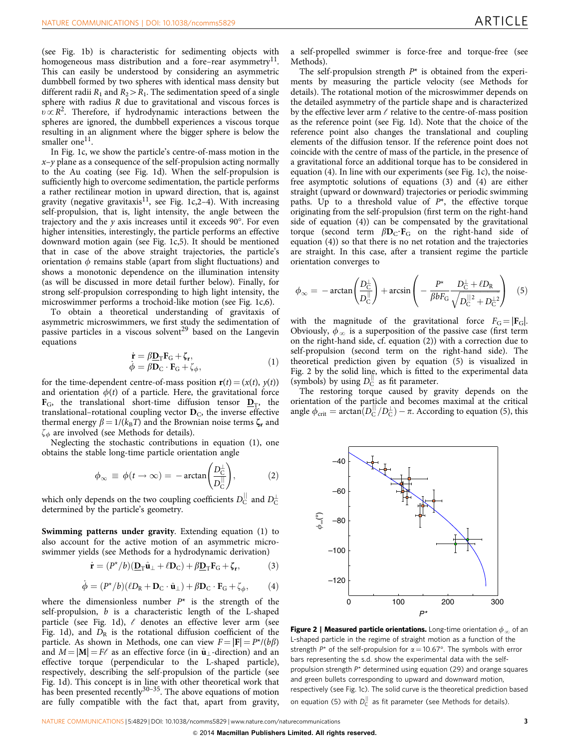<span id="page-2-0"></span>(see [Fig. 1b](#page-1-0)) is characteristic for sedimenting objects with homogeneous mass distribution and a fore–rear asymmetry $^{11}$ . This can easily be understood by considering an asymmetric dumbbell formed by two spheres with identical mass density but different radii  $R_1$  and  $R_2 > R_1$ . The sedimentation speed of a single sphere with radius R due to gravitational and viscous forces is  $u \propto R^2$ . Therefore, if hydrodynamic interactions between the spheres are ignored, the dumbbell experiences a viscous torque resulting in an alignment where the bigger sphere is below the smaller one<sup>[11](#page-6-0)</sup>.

In [Fig. 1c](#page-1-0), we show the particle's centre-of-mass motion in the  $x-y$  plane as a consequence of the self-propulsion acting normally to the Au coating (see [Fig. 1d\)](#page-1-0). When the self-propulsion is sufficiently high to overcome sedimentation, the particle performs a rather rectilinear motion in upward direction, that is, against gravity (negative gravitaxis<sup>11</sup>, see [Fig. 1c](#page-1-0),2-4). With increasing self-propulsion, that is, light intensity, the angle between the trajectory and the  $y$  axis increases until it exceeds 90°. For even higher intensities, interestingly, the particle performs an effective downward motion again (see [Fig. 1c](#page-1-0),5). It should be mentioned that in case of the above straight trajectories, the particle's orientation  $\phi$  remains stable (apart from slight fluctuations) and shows a monotonic dependence on the illumination intensity (as will be discussed in more detail further below). Finally, for strong self-propulsion corresponding to high light intensity, the microswimmer performs a trochoid-like motion (see [Fig. 1c,](#page-1-0)6).

To obtain a theoretical understanding of gravitaxis of asymmetric microswimmers, we first study the sedimentation of passive particles in a viscous solvent<sup>[29](#page-6-0)</sup> based on the Langevin equations

$$
\dot{\mathbf{r}} = \beta \underline{\mathbf{D}}_{\mathrm{T}} \mathbf{F}_{\mathrm{G}} + \zeta_{\mathbf{r}}, \n\dot{\phi} = \beta \mathbf{D}_{\mathrm{C}} \cdot \mathbf{F}_{\mathrm{G}} + \zeta_{\phi},
$$
\n(1)

for the time-dependent centre-of-mass position  $\mathbf{r}(t) = (x(t), y(t))$ and orientation  $\phi(t)$  of a particle. Here, the gravitational force  $\mathbf{F}_{\text{G}}$ , the translational short-time diffusion tensor  $\mathbf{D}_{\text{T}}$ , the translational–rotational coupling vector  $D_{\text{C}}$ , the inverse effective thermal energy  $\beta = 1/(k_B T)$  and the Brownian noise terms  $\zeta_r$  and  $\zeta_{\phi}$  are involved (see Methods for details).

Neglecting the stochastic contributions in equation (1), one obtains the stable long-time particle orientation angle

$$
\phi_{\infty} \equiv \phi(t \to \infty) = -\arctan\left(\frac{D_C^{\perp}}{D_C^{\parallel}}\right),\tag{2}
$$

which only depends on the two coupling coefficients  $D_{\text{C}}^{\parallel}$  and  $D_{\text{C}}^{\perp}$ determined by the particle's geometry.

Swimming patterns under gravity. Extending equation (1) to also account for the active motion of an asymmetric microswimmer yields (see Methods for a hydrodynamic derivation)

$$
\dot{\mathbf{r}} = (P^{\star}/b)(\underline{\mathbf{D}}_{\mathrm{T}}\hat{\mathbf{u}}_{\perp} + \ell \mathbf{D}_{\mathrm{C}}) + \beta \underline{\mathbf{D}}_{\mathrm{T}}\mathbf{F}_{\mathrm{G}} + \zeta_{\mathbf{r}},
$$
(3)

$$
\dot{\phi} = (P^{\star}/b)(\ell D_{\rm R} + D_{\rm C} \cdot \hat{\mathbf{u}}_{\perp}) + \beta D_{\rm C} \cdot \mathbf{F}_{\rm G} + \zeta_{\phi},\qquad(4)
$$

where the dimensionless number  $P^*$  is the strength of the self-propulsion, b is a characteristic length of the L-shaped particle (see [Fig. 1d](#page-1-0)),  $\ell$  denotes an effective lever arm (see [Fig. 1d\)](#page-1-0), and  $D_R$  is the rotational diffusion coefficient of the particle. As shown in Methods, one can view  $F = |F| = P^* / (b\beta)$ and  $M = |M| = F\ell$  as an effective force (in  $\hat{u}_{\perp}$ -direction) and an effective torque (perpendicular to the L-shaped particle), respectively, describing the self-propulsion of the particle (see [Fig. 1d](#page-1-0)). This concept is in line with other theoretical work that has been presented recently $30-35$ . The above equations of motion are fully compatible with the fact that, apart from gravity,

a self-propelled swimmer is force-free and torque-free (see Methods).

The self-propulsion strength  $P^*$  is obtained from the experiments by measuring the particle velocity (see Methods for details). The rotational motion of the microswimmer depends on the detailed asymmetry of the particle shape and is characterized by the effective lever arm  $\ell$  relative to the centre-of-mass position as the reference point (see [Fig. 1d\)](#page-1-0). Note that the choice of the reference point also changes the translational and coupling elements of the diffusion tensor. If the reference point does not coincide with the centre of mass of the particle, in the presence of a gravitational force an additional torque has to be considered in equation (4). In line with our experiments (see [Fig. 1c\)](#page-1-0), the noisefree asymptotic solutions of equations (3) and (4) are either straight (upward or downward) trajectories or periodic swimming paths. Up to a threshold value of  $P^*$ , the effective torque originating from the self-propulsion (first term on the right-hand side of equation (4)) can be compensated by the gravitational torque (second term  $\beta D_{\rm C} \cdot F_{\rm G}$  on the right-hand side of equation (4)) so that there is no net rotation and the trajectories are straight. In this case, after a transient regime the particle orientation converges to

$$
\phi_{\infty} = -\arctan\left(\frac{D_{\rm C}^{\perp}}{D_{\rm C}^{\parallel}}\right) + \arcsin\left(-\frac{P^{\star}}{\beta bF_{\rm G}} \frac{D_{\rm C}^{\perp} + \ell D_{\rm R}}{\sqrt{D_{\rm C}^{\parallel 2} + D_{\rm C}^{\perp 2}}}\right) \quad (5)
$$

with the magnitude of the gravitational force  $F_G = |F_G|$ . Obviously,  $\phi_{\infty}$  is a superposition of the passive case (first term on the right-hand side, cf. equation (2)) with a correction due to self-propulsion (second term on the right-hand side). The theoretical prediction given by equation (5) is visualized in Fig. 2 by the solid line, which is fitted to the experimental data (symbols) by using  $D_C^{\parallel}$  as fit parameter.

The restoring torque caused by gravity depends on the orientation of the particle and becomes maximal at the critical angle  $\phi_{\rm crit} = \arctan(D_{\rm C}^{||}/D_{\rm C}^{\perp}) - \pi$ . According to equation (5), this



Figure 2 | Measured particle orientations. Long-time orientation  $\phi_{\infty}$  of an L-shaped particle in the regime of straight motion as a function of the strength  $P^*$  of the self-propulsion for  $\alpha = 10.67^\circ$ . The symbols with error bars representing the s.d. show the experimental data with the selfpropulsion strength P\* determined using equation (29) and orange squares and green bullets corresponding to upward and downward motion, respectively (see [Fig. 1c](#page-1-0)). The solid curve is the theoretical prediction based on equation (5) with  $D_C^{\parallel}$  as fit parameter (see Methods for details).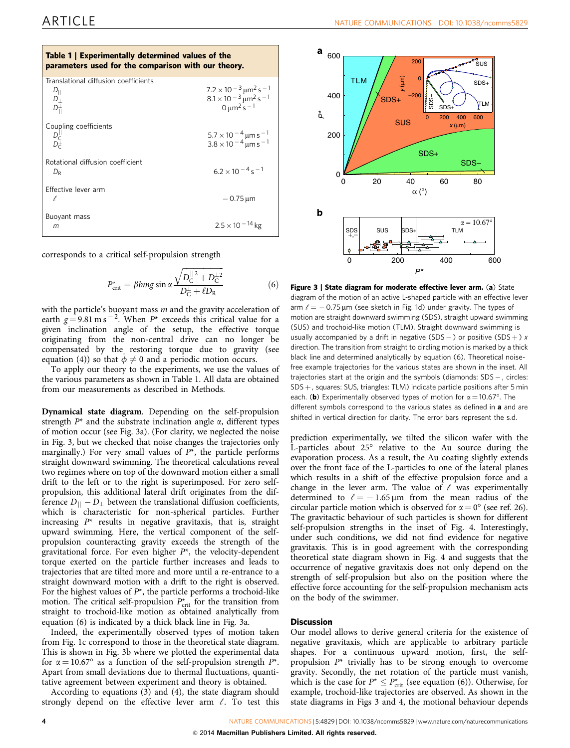<span id="page-3-0"></span>

| Table 1   Experimentally determined values of the<br>parameters used for the comparison with our theory. |                                                                                                                                              |
|----------------------------------------------------------------------------------------------------------|----------------------------------------------------------------------------------------------------------------------------------------------|
| Translational diffusion coefficients<br>$D_{\parallel}$<br>$D_{\perp}$<br>$D_{\perp}^{\perp}$            | $7.2 \times 10^{-3}$ $\mu$ m <sup>2</sup> s <sup>-1</sup><br>$8.1 \times 10^{-3}$ $\mu$ m <sup>2</sup> s <sup>-1</sup><br>$0 \mu m^2 s^{-1}$ |
| Coupling coefficients                                                                                    | $5.7 \times 10^{-4}$ µm s $^{-1}$<br>3.8 × 10 <sup>- 4</sup> µm s <sup>- 1</sup>                                                             |
| Rotational diffusion coefficient<br>$D_{\rm R}$                                                          | $6.2 \times 10^{-4}$ s <sup>-1</sup>                                                                                                         |
| Effective lever arm<br>ł.                                                                                | $-0.75 \,\mathrm{\mu m}$                                                                                                                     |
| Buoyant mass<br>m                                                                                        | $2.5 \times 10^{-14}$ kg                                                                                                                     |

corresponds to a critical self-propulsion strength

$$
P_{\text{crit}}^{\star} = \beta bmg \sin \alpha \frac{\sqrt{D_{\text{C}}^{||2} + D_{\text{C}}^{1/2}}}{D_{\text{C}}^{+} + \ell D_{\text{R}}}
$$
(6)

with the particle's buoyant mass  $m$  and the gravity acceleration of earth  $g = 9.81 \text{ m s}^{-2}$ . When  $P^*$  exceeds this critical value for a given inclination angle of the setup, the effective torque originating from the non-central drive can no longer be compensated by the restoring torque due to gravity (see equation (4)) so that  $\phi \neq 0$  and a periodic motion occurs.

To apply our theory to the experiments, we use the values of the various parameters as shown in Table 1. All data are obtained from our measurements as described in Methods.

Dynamical state diagram. Depending on the self-propulsion strength  $P^*$  and the substrate inclination angle  $\alpha$ , different types of motion occur (see Fig. 3a). (For clarity, we neglected the noise in Fig. 3, but we checked that noise changes the trajectories only marginally.) For very small values of  $P^*$ , the particle performs straight downward swimming. The theoretical calculations reveal two regimes where on top of the downward motion either a small drift to the left or to the right is superimposed. For zero selfpropulsion, this additional lateral drift originates from the difference  $D_{||} - D_{\perp}$  between the translational diffusion coefficients, which is characteristic for non-spherical particles. Further increasing  $P^*$  results in negative gravitaxis, that is, straight upward swimming. Here, the vertical component of the selfpropulsion counteracting gravity exceeds the strength of the gravitational force. For even higher  $P^*$ , the velocity-dependent torque exerted on the particle further increases and leads to trajectories that are tilted more and more until a re-entrance to a straight downward motion with a drift to the right is observed. For the highest values of  $P^*$ , the particle performs a trochoid-like motion. The critical self-propulsion  $P_{\text{crit}}^{\star}$  for the transition from straight to trochoid-like motion as obtained analytically from equation (6) is indicated by a thick black line in Fig. 3a.

Indeed, the experimentally observed types of motion taken from [Fig. 1c](#page-1-0) correspond to those in the theoretical state diagram. This is shown in Fig. 3b where we plotted the experimental data for  $\alpha = 10.67^{\circ}$  as a function of the self-propulsion strength  $P^*$ . Apart from small deviations due to thermal fluctuations, quantitative agreement between experiment and theory is obtained.

According to equations (3) and (4), the state diagram should strongly depend on the effective lever arm  $\ell$ . To test this



Figure 3 | State diagram for moderate effective lever arm. (a) State diagram of the motion of an active L-shaped particle with an effective lever arm  $\ell = -0.75 \,\mu m$  (see sketch in [Fig. 1d](#page-1-0)) under gravity. The types of motion are straight downward swimming (SDS), straight upward swimming (SUS) and trochoid-like motion (TLM). Straight downward swimming is usually accompanied by a drift in negative  $(SDS - )$  or positive  $(SDS + )$  x direction. The transition from straight to circling motion is marked by a thick black line and determined analytically by equation (6). Theoretical noisefree example trajectories for the various states are shown in the inset. All trajectories start at the origin and the symbols (diamonds: SDS -, circles:  $SDS +$ , squares: SUS, triangles: TLM) indicate particle positions after 5 min each. (b) Experimentally observed types of motion for  $\alpha = 10.67^{\circ}$ . The different symbols correspond to the various states as defined in a and are shifted in vertical direction for clarity. The error bars represent the s.d.

prediction experimentally, we tilted the silicon wafer with the L-particles about  $25^\circ$  relative to the Au source during the evaporation process. As a result, the Au coating slightly extends over the front face of the L-particles to one of the lateral planes which results in a shift of the effective propulsion force and a change in the lever arm. The value of  $\ell$  was experimentally determined to  $\ell = -1.65 \,\mu \text{m}$  from the mean radius of the circular particle motion which is observed for  $\alpha = 0^{\circ}$  (see [ref. 26](#page-6-0)). The gravitactic behaviour of such particles is shown for different self-propulsion strengths in the inset of [Fig. 4.](#page-4-0) Interestingly, under such conditions, we did not find evidence for negative gravitaxis. This is in good agreement with the corresponding theoretical state diagram shown in [Fig. 4](#page-4-0) and suggests that the occurrence of negative gravitaxis does not only depend on the strength of self-propulsion but also on the position where the effective force accounting for the self-propulsion mechanism acts on the body of the swimmer.

### **Discussion**

Our model allows to derive general criteria for the existence of negative gravitaxis, which are applicable to arbitrary particle shapes. For a continuous upward motion, first, the selfpropulsion P\* trivially has to be strong enough to overcome gravity. Secondly, the net rotation of the particle must vanish, which is the case for  $P^* \le P_{\text{crit}}^*$  (see equation (6)). Otherwise, for example, trochoid-like trajectories are observed. As shown in the state diagrams in Figs 3 and 4, the motional behaviour depends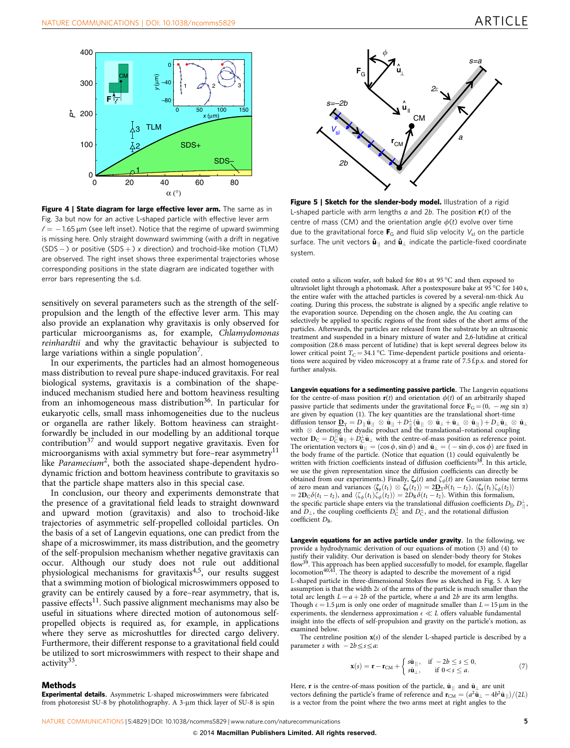<span id="page-4-0"></span>

Figure 4 | State diagram for large effective lever arm. The same as in [Fig. 3a](#page-3-0) but now for an active L-shaped particle with effective lever arm  $\ell = -$  1.65  $\mu$ m (see left inset). Notice that the regime of upward swimming is missing here. Only straight downward swimming (with a drift in negative  $(SDS - )$  or positive  $(SDS + )x$  direction) and trochoid-like motion (TLM) are observed. The right inset shows three experimental trajectories whose corresponding positions in the state diagram are indicated together with error bars representing the s.d.

sensitively on several parameters such as the strength of the selfpropulsion and the length of the effective lever arm. This may also provide an explanation why gravitaxis is only observed for particular microorganisms as, for example, Chlamydomonas reinhardtii and why the gravitactic behaviour is subjected to large variations within a single population<sup>7</sup>.

In our experiments, the particles had an almost homogeneous mass distribution to reveal pure shape-induced gravitaxis. For real biological systems, gravitaxis is a combination of the shapeinduced mechanism studied here and bottom heaviness resulting from an inhomogeneous mass distribution<sup>[36](#page-6-0)</sup>. In particular for eukaryotic cells, small mass inhomogeneities due to the nucleus or organella are rather likely. Bottom heaviness can straightforwardly be included in our modelling by an additional torque contribution $37$  and would support negative gravitaxis. Even for microorganisms with axial symmetry but fore–rear asymmetry<sup>11</sup> like Paramecium<sup>[2](#page-6-0)</sup>, both the associated shape-dependent hydrodynamic friction and bottom heaviness contribute to gravitaxis so that the particle shape matters also in this special case.

In conclusion, our theory and experiments demonstrate that the presence of a gravitational field leads to straight downward and upward motion (gravitaxis) and also to trochoid-like trajectories of asymmetric self-propelled colloidal particles. On the basis of a set of Langevin equations, one can predict from the shape of a microswimmer, its mass distribution, and the geometry of the self-propulsion mechanism whether negative gravitaxis can occur. Although our study does not rule out additional physiological mechanisms for gravitaxis<sup>[4,5](#page-6-0)</sup>, our results suggest that a swimming motion of biological microswimmers opposed to gravity can be entirely caused by a fore–rear asymmetry, that is, passive effects $11$ . Such passive alignment mechanisms may also be useful in situations where directed motion of autonomous selfpropelled objects is required as, for example, in applications where they serve as microshuttles for directed cargo delivery. Furthermore, their different response to a gravitational field could be utilized to sort microswimmers with respect to their shape and activity<sup>[33](#page-6-0)</sup>.

#### Methods

Experimental details. Asymmetric L-shaped microswimmers were fabricated from photoresist SU-8 by photolithography. A 3-µm thick layer of SU-8 is spin



Figure 5 | Sketch for the slender-body model. Illustration of a rigid L-shaped particle with arm lengths a and 2b. The position  $r(t)$  of the centre of mass (CM) and the orientation angle  $\phi(t)$  evolve over time due to the gravitational force  $\mathbf{F}_G$  and fluid slip velocity  $V_{sl}$  on the particle surface. The unit vectors  $\hat{\mathbf{u}}_{\parallel}$  and  $\hat{\mathbf{u}}_{\perp}$  indicate the particle-fixed coordinate system.

coated onto a silicon wafer, soft baked for 80 s at  $95^{\circ}$ C and then exposed to ultraviolet light through a photomask. After a postexposure bake at 95 °C for 140 s, the entire wafer with the attached particles is covered by a several-nm-thick Au coating. During this process, the substrate is aligned by a specific angle relative to the evaporation source. Depending on the chosen angle, the Au coating can selectively be applied to specific regions of the front sides of the short arms of the particles. Afterwards, the particles are released from the substrate by an ultrasonic treatment and suspended in a binary mixture of water and 2,6-lutidine at critical composition (28.6 mass percent of lutidine) that is kept several degrees below its lower critical point  $T_{\rm C} = 34.1 \, \text{°C}$ . Time-dependent particle positions and orientations were acquired by video microscopy at a frame rate of 7.5 f.p.s. and stored for further analysis.

Langevin equations for a sedimenting passive particle. The Langevin equations for the centre-of-mass position  $r(t)$  and orientation  $\phi(t)$  of an arbitrarily shaped passive particle that sediments under the gravitational force  $\mathbf{F}_{\text{G}} = (0, -mg \sin \alpha)$ are given by equation (1). The key quantities are the translational short-time  $\text{diffusion tensor } \underline{\mathbf{D}}_{\mathrm{T}} = D_{||}\hat{\mathbf{u}}_{||} \; \otimes \; \hat{\mathbf{u}}_{||} + D_{||}^{\perp}(\hat{\mathbf{u}}_{||} \; \otimes \; \hat{\mathbf{u}}_{\perp} + \hat{\mathbf{u}}_{\perp} \; \otimes \; \hat{\mathbf{u}}_{||}) + D_{\perp} \hat{\mathbf{u}}_{\perp} \; \otimes \; \hat{\mathbf{u}}_{\perp}$ with  $\otimes$  denoting the dyadic product and the translational–rotational coupling vector  $\mathbf{D}_C = D_C^{\parallel} \hat{\mathbf{u}}_{\parallel} + D_C^{\perp} \hat{\mathbf{u}}_{\perp}$  with the centre-of-mass position as reference point. The orientation vectors  $\hat{\mathbf{u}}_{\parallel} = (\cos \phi, \sin \phi)$  and  $\hat{\mathbf{u}}_{\perp} = (-\sin \phi, \cos \phi)$  are fixed in the body frame of the particle. (Notice that equation (1) could equivalently be written with friction coefficients instead of diffusion coefficients<sup>38</sup>. In this article, we use the given representation since the diffusion coefficients can directly be obtained from our experiments.) Finally,  $\zeta_r(t)$  and  $\zeta_\phi(t)$  are Gaussian noise terms of zero mean and variances  $\langle \zeta_{\mathbf{r}}(t_1) \otimes \zeta_{\mathbf{r}}(t_2) \rangle = 2\underline{\mathbf{D}}_{\mathrm{T}}\delta(t_1 - t_2), \langle \zeta_{\mathbf{r}}(t_1)\zeta_{\phi}(t_2) \rangle$  $=2\mathbf{D}_{\mathbf{C}}\delta(t_1-t_2)$ , and  $\langle \zeta_{\phi}(t_1)\zeta_{\phi}(t_2)\rangle = 2D_{\mathbf{R}}\delta(t_1-t_2)$ . Within this formalism, the specific particle shape enters via the translational diffusion coefficients  $D_{\parallel}$ ,  $D_{\parallel}^{\perp}$ and  $D_{\perp}$ , the coupling coefficients  $D_C^{\parallel}$  and  $D_C^{\perp}$ , and the rotational diffusion coefficient DR.

Langevin equations for an active particle under gravity. In the following, we provide a hydrodynamic derivation of our equations of motion (3) and (4) to justify their validity. Our derivation is based on slender-body theory for Stokes flow<sup>[39](#page-6-0)</sup>. This approach has been applied successfully to model, for example, flagellar locomotion<sup>40,41</sup>. The theory is adapted to describe the movement of a rigid L-shaped particle in three-dimensional Stokes flow as sketched in Fig. 5. A key assumption is that the width  $2\epsilon$  of the arms of the particle is much smaller than the total arc length  $L = a + 2b$  of the particle, where a and 2b are its arm lengths. Though  $\epsilon = 1.5 \,\mu\text{m}$  is only one order of magnitude smaller than  $L = 15 \,\mu\text{m}$  in the experiments, the slenderness approximation  $\epsilon \ll L$  offers valuable fundamental insight into the effects of self-propulsion and gravity on the particle's motion, as examined below.

The centreline position  $x(s)$  of the slender L-shaped particle is described by a parameter s with  $-2b \leq s \leq a$ :

$$
\mathbf{x}(s) = \mathbf{r} - \mathbf{r}_{\text{CM}} + \begin{cases} s\hat{\mathbf{u}}_{\parallel}, & \text{if } -2b \le s \le 0, \\ s\hat{\mathbf{u}}_{\perp}, & \text{if } 0 < s \le a. \end{cases} \tag{7}
$$

Here, **r** is the centre-of-mass position of the particle,  $\hat{\mathbf{u}}_{\parallel}$  and  $\hat{\mathbf{u}}_{\perp}$  are unit vectors defining the particle's frame of reference and  $\mathbf{r}_{CM} = \frac{a^2 \hat{\mathbf{u}}_1 - 4b^2 \hat{\mathbf{u}}_1}{2L}$ is a vector from the point where the two arms meet at right angles to the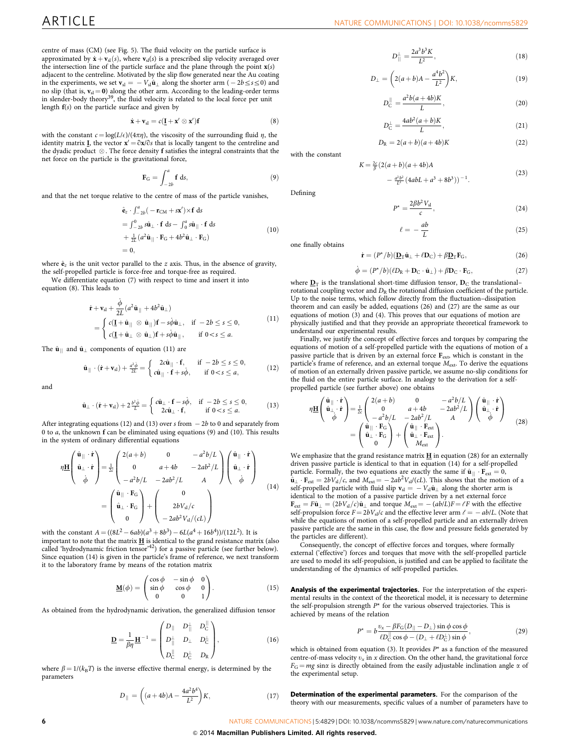centre of mass (CM) (see [Fig. 5](#page-4-0)). The fluid velocity on the particle surface is approximated by  $\dot{\mathbf{x}} + \mathbf{v}_{sl}(s)$ , where  $\mathbf{v}_{sl}(s)$  is a prescribed slip velocity averaged over the intersection line of the particle surface and the plane through the point  $x(s)$ adjacent to the centreline. Motivated by the slip flow generated near the Au coating in the experiments, we set  $\mathbf{v}_{sl} = -V_{sl}\hat{\mathbf{u}}_{\perp}$  along the shorter arm (  $-2b \leq s \leq 0$ ) and no slip (that is,  $\mathbf{v}_{\rm{sl}}$  = 0) along the other arm. According to the leading-order terms<br>in slender-body theory<sup>[39](#page-6-0)</sup>, the fluid velocity is related to the local force per unit length  $f(s)$  on the particle surface and given by

$$
\dot{\mathbf{x}} + \mathbf{v}_{\rm sl} = c(\mathbf{\underline{I}} + \mathbf{x}' \otimes \mathbf{x}')\mathbf{f}
$$
 (8)

with the constant  $c = \log(L/\epsilon)/(4\pi\eta)$ , the viscosity of the surrounding fluid  $\eta$ , the identity matrix **I**, the vector  $\mathbf{x}' = \partial \mathbf{x}/\partial s$  that is locally tangent to the centreline and the dyadic product  $\otimes$ . The force density  $f$  satisfies the integral constraints that the net force on the particle is the gravitational force,

$$
\mathbf{F}_G = \int_{-2b}^a \mathbf{f} \, \mathrm{d}s,\tag{9}
$$

and that the net torque relative to the centre of mass of the particle vanishes.

$$
\begin{aligned}\n\hat{\mathbf{e}}_z \cdot \int_{-2b}^a (-\mathbf{r}_{CM} + s\mathbf{x}') \times \mathbf{f} \, \mathrm{d}s \\
&= \int_{-2b}^0 s\hat{\mathbf{u}}_\perp \cdot \mathbf{f} \, \mathrm{d}s - \int_0^a s\hat{\mathbf{u}}_\parallel \cdot \mathbf{f} \, \mathrm{d}s \\
&+ \frac{1}{2L} (a^2 \hat{\mathbf{u}}_\parallel \cdot \mathbf{F}_G + 4b^2 \hat{\mathbf{u}}_\perp \cdot \mathbf{F}_G) \\
&= 0,\n\end{aligned} \tag{10}
$$

where  $\hat{\mathbf{e}}_z$  is the unit vector parallel to the z axis. Thus, in the absence of gravity, the self-propelled particle is force-free and torque-free as required.

We differentiate equation (7) with respect to time and insert it into equation (8). This leads to

$$
\dot{\mathbf{r}} + \mathbf{v}_{sl} + \frac{\dot{\phi}}{2L} (a^2 \hat{\mathbf{u}}_{\parallel} + 4b^2 \hat{\mathbf{u}}_{\perp})
$$
\n
$$
= \begin{cases}\nc(\mathbf{I} + \hat{\mathbf{u}}_{\parallel} \otimes \hat{\mathbf{u}}_{\parallel}) \mathbf{f} - s\dot{\phi} \hat{\mathbf{u}}_{\perp}, & \text{if } -2b \le s \le 0, \\
c(\mathbf{I} + \hat{\mathbf{u}}_{\perp} \otimes \hat{\mathbf{u}}_{\perp}) \mathbf{f} + s\dot{\phi} \hat{\mathbf{u}}_{\parallel}, & \text{if } 0 < s \le a.\n\end{cases}
$$
\n(11)

The  $\hat{\mathbf{u}}_{\parallel}$  and  $\hat{\mathbf{u}}_{\perp}$  components of equation (11) are

$$
\hat{\mathbf{u}}_{\parallel} \cdot (\dot{\mathbf{r}} + \mathbf{v}_{sl}) + \frac{a^2 \dot{\phi}}{2L} = \begin{cases} 2c\hat{\mathbf{u}}_{\parallel} \cdot \mathbf{f}, & \text{if } -2b \le s \le 0, \\ c\hat{\mathbf{u}}_{\parallel} \cdot \mathbf{f} + s\dot{\phi}, & \text{if } 0 < s \le a, \end{cases}
$$
(12)

and

$$
\hat{\mathbf{u}}_{\perp} \cdot (\dot{\mathbf{r}} + \mathbf{v}_{sl}) + 2 \frac{b^2 \dot{\phi}}{L} = \begin{cases} c \hat{\mathbf{u}}_{\perp} \cdot \mathbf{f} - s \dot{\phi}, & \text{if } -2b \le s \le 0, \\ 2c \hat{\mathbf{u}}_{\perp} \cdot \mathbf{f}, & \text{if } 0 < s \le a. \end{cases}
$$
(13)

After integrating equations (12) and (13) over  $s$  from  $\,$  –  $2b$  to 0 and separately from 0 to a, the unknown f can be eliminated using equations (9) and (10). This results in the system of ordinary differential equations

$$
\eta \underline{\mathbf{H}} \begin{pmatrix} \hat{\mathbf{u}}_{\parallel} \cdot \dot{\mathbf{r}} \\ \hat{\mathbf{u}}_{\perp} \cdot \dot{\mathbf{r}} \\ \dot{\phi} \end{pmatrix} = \frac{1}{2c} \begin{pmatrix} 2(a+b) & 0 & -a^2b/L \\ 0 & a+4b & -2ab^2/L \\ -a^2b/L & -2ab^2/L & A \end{pmatrix} \begin{pmatrix} \hat{\mathbf{u}}_{\parallel} \cdot \dot{\mathbf{r}} \\ \hat{\mathbf{u}}_{\perp} \cdot \dot{\mathbf{r}} \\ \dot{\phi} \end{pmatrix}
$$

$$
= \begin{pmatrix} \hat{\mathbf{u}}_{\parallel} \cdot \mathbf{F}_{\mathrm{G}} \\ \hat{\mathbf{u}}_{\perp} \cdot \mathbf{F}_{\mathrm{G}} \\ 0 \end{pmatrix} + \begin{pmatrix} 0 \\ 2bV_{\mathrm{sl}}/c \\ -2ab^2V_{\mathrm{sl}}/(cL) \end{pmatrix}
$$
(14)

with the constant  $A = ((8L^2 - 6ab)(a^3 + 8b^3) - 6L(a^4 + 16b^4))/(12L^2)$ . It is important to note that the matrix  $\underline{\mathbf{H}}$  is identical to the grand resistance matrix (also called 'hydrodynamic friction tensor<sup>3[42](#page-6-0)</sup>) for a passive particle (see further below). Since equation (14) is given in the particle's frame of reference, we next transform it to the laboratory frame by means of the rotation matrix

$$
\underline{\mathbf{M}}(\phi) = \begin{pmatrix} \cos \phi & -\sin \phi & 0 \\ \sin \phi & \cos \phi & 0 \\ 0 & 0 & 1 \end{pmatrix} . \tag{15}
$$

As obtained from the hydrodynamic derivation, the generalized diffusion tensor

$$
\underline{\mathbf{D}} = \frac{1}{\beta \eta} \underline{\mathbf{H}}^{-1} = \begin{pmatrix} D_{\parallel} & D_{\parallel}^{\perp} & D_{\mathrm{C}}^{\parallel} \\ D_{\parallel}^{\perp} & D_{\perp} & D_{\mathrm{C}}^{\perp} \\ D_{\mathrm{C}}^{\parallel} & D_{\mathrm{C}}^{\perp} & D_{\mathrm{R}} \end{pmatrix}, \tag{16}
$$

where  $\beta = 1/(k_B T)$  is the inverse effective thermal energy, is determined by the parameters

$$
D_{\parallel} = \left( (a + 4b)A - \frac{4a^2b^4}{L^2} \right) K, \tag{17}
$$

$$
D_{\parallel}^{\perp} = \frac{2a^3b^3K}{L^2},\tag{18}
$$

$$
D_{\perp} = \left(2(a+b)A - \frac{a^4b^2}{L^2}\right)K,\tag{19}
$$

$$
D_{\rm C}^{\parallel} = \frac{a^2 b(a+4b)K}{L},
$$
\n(20)

$$
D_C^{\perp} = \frac{4ab^2(a+b)K}{L},\qquad(21)
$$

$$
D_{\mathcal{R}} = 2(a+b)(a+4b)K\tag{22}
$$

 $K = \frac{2c}{\beta} (2(a+b)(a+4b)A)$ 

$$
-\frac{a^2b^2}{L^2}(4abL+a^3+8b^3))^{-1}.
$$

 $\sqrt{2}$ 

Defining

with the constant

$$
P^* = \frac{2\beta b^2 V_{\rm sl}}{c},\tag{24}
$$

$$
\ell = -\frac{ab}{L} \tag{25}
$$

one finally obtains

$$
\dot{\mathbf{r}} = (P^{\star}/b)(\underline{\mathbf{D}}_{\mathrm{T}}\hat{\mathbf{u}}_{\perp} + \ell \mathbf{D}_{\mathrm{C}}) + \beta \underline{\mathbf{D}}_{\mathrm{T}}\mathbf{F}_{\mathrm{G}},\tag{26}
$$

$$
\dot{\phi} = (P^{\star}/b)(\ell D_{\rm R} + D_{\rm C} \cdot \hat{\mathbf{u}}_{\perp}) + \beta D_{\rm C} \cdot \mathbf{F}_{\rm G},\tag{27}
$$

where  $D_T$  is the translational short-time diffusion tensor,  $D_C$  the translational– rotational coupling vector and  $D_R$  the rotational diffusion coefficient of the particle. Up to the noise terms, which follow directly from the fluctuation–dissipation theorem and can easily be added, equations (26) and (27) are the same as our equations of motion (3) and (4). This proves that our equations of motion are physically justified and that they provide an appropriate theoretical framework to understand our experimental results.

Finally, we justify the concept of effective forces and torques by comparing the equations of motion of a self-propelled particle with the equations of motion of a passive particle that is driven by an external force Fext, which is constant in the particle's frame of reference, and an external torque  $M_{\text{ext}}$ . To derive the equations of motion of an externally driven passive particle, we assume no-slip conditions for the fluid on the entire particle surface. In analogy to the derivation for a selfpropelled particle (see further above) one obtains

$$
\eta \underline{\mathbf{H}} \begin{pmatrix} \hat{\mathbf{u}}_{\parallel} \cdot \dot{\mathbf{r}} \\ \hat{\mathbf{u}}_{\perp} \cdot \dot{\mathbf{r}} \\ \dot{\phi} \end{pmatrix} = \frac{1}{2c} \begin{pmatrix} 2(a+b) & 0 & -a^2b/L \\ 0 & a+4b & -2ab^2/L \\ -a^2b/L & -2ab^2/L & A \end{pmatrix} \begin{pmatrix} \hat{\mathbf{u}}_{\parallel} \cdot \dot{\mathbf{r}} \\ \hat{\mathbf{u}}_{\perp} \cdot \dot{\mathbf{r}} \\ \dot{\phi} \end{pmatrix}
$$

$$
= \begin{pmatrix} \hat{\mathbf{u}}_{\parallel} \cdot \mathbf{F}_{\rm G} \\ \hat{\mathbf{u}}_{\perp} \cdot \mathbf{F}_{\rm G} \\ 0 \end{pmatrix} + \begin{pmatrix} \hat{\mathbf{u}}_{\parallel} \cdot \mathbf{F}_{\rm ext} \\ \hat{\mathbf{u}}_{\perp} \cdot \mathbf{F}_{\rm ext} \\ M_{\rm ext} \end{pmatrix} . \tag{28}
$$

We emphasize that the grand resistance matrix  $\underline{\mathbf{H}}$  in equation (28) for an externally driven passive particle is identical to that in equation (14) for a self-propelled particle. Formally, the two equations are exactly the same if  $\hat{\mathbf{u}}_{\parallel} \cdot \mathbf{F}_{ext} = 0$ ,  $\hat{\mathbf{u}}_{\perp} \cdot \mathbf{F}_{ext} = 2bV_{sl}/c$ , and  $M_{ext} = -2ab^2V_{sl}/(cL)$ . This shows that the motion of a self-propelled particle with fluid slip  $\mathbf{v}_{sl} = -V_{sl}\hat{\mathbf{u}}_{\perp}$  along the shorter arm is identical to the motion of a passive particle driven by a net external force  **and torque**  $M<sub>ext</sub> = -(ab/L)F = eF$  **with the effective** self-propulsion force  $F = 2bV_{sl}/c$  and the effective lever arm  $\ell = -ab/L$ . (Note that while the equations of motion of a self-propelled particle and an externally driven passive particle are the same in this case, the flow and pressure fields generated by the particles are different).

Consequently, the concept of effective forces and torques, where formally external ('effective') forces and torques that move with the self-propelled particle are used to model its self-propulsion, is justified and can be applied to facilitate the understanding of the dynamics of self-propelled particles.

Analysis of the experimental trajectories. For the interpretation of the experimental results in the context of the theoretical model, it is necessary to determine the self-propulsion strength  $P^*$  for the various observed trajectories. This is achieved by means of the relation

$$
P^* = b \frac{v_x - \beta F_G(D_{||} - D_{\perp}) \sin \phi \cos \phi}{\ell D_C^{\parallel} \cos \phi - (D_{\perp} + \ell D_C^{\perp}) \sin \phi},
$$
\n(29)

which is obtained from equation (3). It provides  $P^*$  as a function of the measured centre-of-mass velocity  $v_x$  in x direction. On the other hand, the gravitational force  $F_G = mg \sin\alpha$  is directly obtained from the easily adjustable inclination angle  $\alpha$  of the experimental setup.

Determination of the experimental parameters. For the comparison of the theory with our measurements, specific values of a number of parameters have to